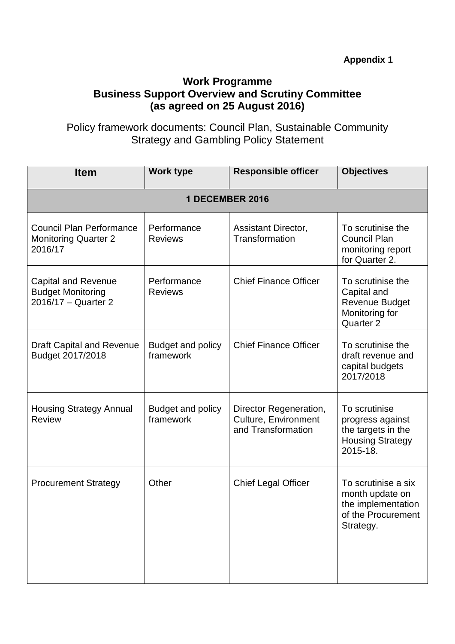## **Work Programme Business Support Overview and Scrutiny Committee (as agreed on 25 August 2016)**

Policy framework documents: Council Plan, Sustainable Community Strategy and Gambling Policy Statement

| <b>Item</b>                                                                   | <b>Work type</b>                      | <b>Responsible officer</b>                                           | <b>Objectives</b>                                                                               |  |  |  |
|-------------------------------------------------------------------------------|---------------------------------------|----------------------------------------------------------------------|-------------------------------------------------------------------------------------------------|--|--|--|
| 1 DECEMBER 2016                                                               |                                       |                                                                      |                                                                                                 |  |  |  |
| <b>Council Plan Performance</b><br><b>Monitoring Quarter 2</b><br>2016/17     | Performance<br><b>Reviews</b>         | Assistant Director,<br>Transformation                                | To scrutinise the<br><b>Council Plan</b><br>monitoring report<br>for Quarter 2.                 |  |  |  |
| <b>Capital and Revenue</b><br><b>Budget Monitoring</b><br>2016/17 - Quarter 2 | Performance<br><b>Reviews</b>         | <b>Chief Finance Officer</b>                                         | To scrutinise the<br>Capital and<br><b>Revenue Budget</b><br>Monitoring for<br>Quarter 2        |  |  |  |
| <b>Draft Capital and Revenue</b><br>Budget 2017/2018                          | Budget and policy<br>framework        | <b>Chief Finance Officer</b>                                         | To scrutinise the<br>draft revenue and<br>capital budgets<br>2017/2018                          |  |  |  |
| <b>Housing Strategy Annual</b><br><b>Review</b>                               | <b>Budget and policy</b><br>framework | Director Regeneration,<br>Culture, Environment<br>and Transformation | To scrutinise<br>progress against<br>the targets in the<br><b>Housing Strategy</b><br>2015-18.  |  |  |  |
| <b>Procurement Strategy</b>                                                   | Other                                 | <b>Chief Legal Officer</b>                                           | To scrutinise a six<br>month update on<br>the implementation<br>of the Procurement<br>Strategy. |  |  |  |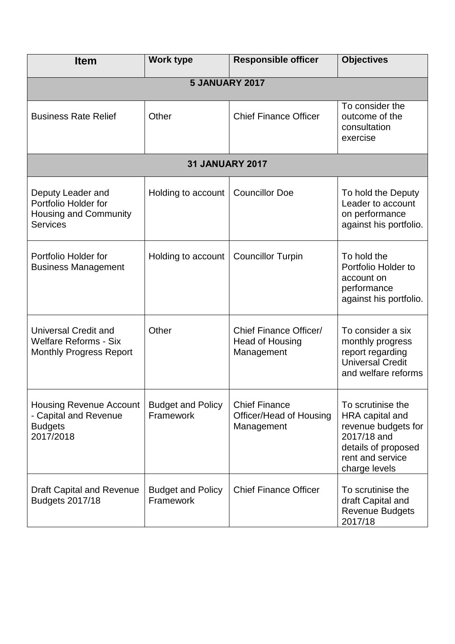| <b>Item</b>                                                                                   | <b>Work type</b>                      | <b>Responsible officer</b>                                    | <b>Objectives</b>                                                                                                                      |  |  |
|-----------------------------------------------------------------------------------------------|---------------------------------------|---------------------------------------------------------------|----------------------------------------------------------------------------------------------------------------------------------------|--|--|
| <b>5 JANUARY 2017</b>                                                                         |                                       |                                                               |                                                                                                                                        |  |  |
| <b>Business Rate Relief</b>                                                                   | Other                                 | <b>Chief Finance Officer</b>                                  | To consider the<br>outcome of the<br>consultation<br>exercise                                                                          |  |  |
|                                                                                               | <b>31 JANUARY 2017</b>                |                                                               |                                                                                                                                        |  |  |
| Deputy Leader and<br>Portfolio Holder for<br><b>Housing and Community</b><br><b>Services</b>  | Holding to account                    | <b>Councillor Doe</b>                                         | To hold the Deputy<br>Leader to account<br>on performance<br>against his portfolio.                                                    |  |  |
| Portfolio Holder for<br><b>Business Management</b>                                            | Holding to account                    | <b>Councillor Turpin</b>                                      | To hold the<br>Portfolio Holder to<br>account on<br>performance<br>against his portfolio.                                              |  |  |
| <b>Universal Credit and</b><br><b>Welfare Reforms - Six</b><br><b>Monthly Progress Report</b> | Other                                 | Chief Finance Officer/<br>Head of Housing<br>Management       | To consider a six<br>monthly progress<br>report regarding<br><b>Universal Credit</b><br>and welfare reforms                            |  |  |
| <b>Housing Revenue Account</b><br>- Capital and Revenue<br><b>Budgets</b><br>2017/2018        | <b>Budget and Policy</b><br>Framework | <b>Chief Finance</b><br>Officer/Head of Housing<br>Management | To scrutinise the<br>HRA capital and<br>revenue budgets for<br>2017/18 and<br>details of proposed<br>rent and service<br>charge levels |  |  |
| <b>Draft Capital and Revenue</b><br>Budgets 2017/18                                           | <b>Budget and Policy</b><br>Framework | <b>Chief Finance Officer</b>                                  | To scrutinise the<br>draft Capital and<br><b>Revenue Budgets</b><br>2017/18                                                            |  |  |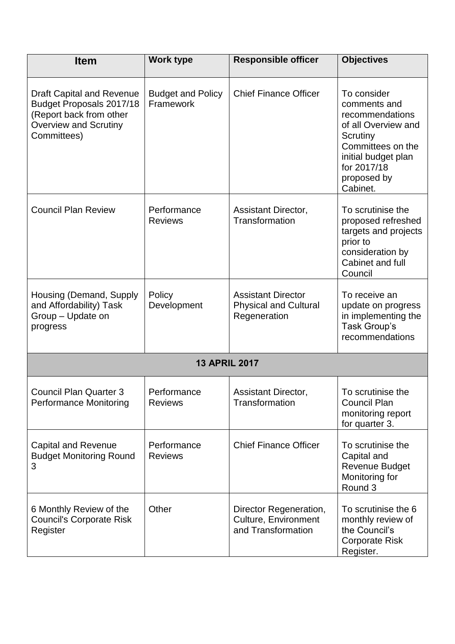| <b>Item</b>                                                                                                                            | <b>Work type</b>                      | <b>Responsible officer</b>                                                  | <b>Objectives</b>                                                                                                                                                       |  |
|----------------------------------------------------------------------------------------------------------------------------------------|---------------------------------------|-----------------------------------------------------------------------------|-------------------------------------------------------------------------------------------------------------------------------------------------------------------------|--|
| <b>Draft Capital and Revenue</b><br>Budget Proposals 2017/18<br>(Report back from other<br><b>Overview and Scrutiny</b><br>Committees) | <b>Budget and Policy</b><br>Framework | <b>Chief Finance Officer</b>                                                | To consider<br>comments and<br>recommendations<br>of all Overview and<br>Scrutiny<br>Committees on the<br>initial budget plan<br>for 2017/18<br>proposed by<br>Cabinet. |  |
| <b>Council Plan Review</b>                                                                                                             | Performance<br><b>Reviews</b>         | <b>Assistant Director,</b><br>Transformation                                | To scrutinise the<br>proposed refreshed<br>targets and projects<br>prior to<br>consideration by<br>Cabinet and full<br>Council                                          |  |
| Housing (Demand, Supply<br>and Affordability) Task<br>Group - Update on<br>progress                                                    | Policy<br>Development                 | <b>Assistant Director</b><br><b>Physical and Cultural</b><br>Regeneration   | To receive an<br>update on progress<br>in implementing the<br>Task Group's<br>recommendations                                                                           |  |
| <b>13 APRIL 2017</b>                                                                                                                   |                                       |                                                                             |                                                                                                                                                                         |  |
| <b>Council Plan Quarter 3</b><br><b>Performance Monitoring</b>                                                                         | Performance<br><b>Reviews</b>         | <b>Assistant Director,</b><br>Transformation                                | To scrutinise the<br><b>Council Plan</b><br>monitoring report<br>for quarter 3.                                                                                         |  |
| <b>Capital and Revenue</b><br><b>Budget Monitoring Round</b><br>3                                                                      | Performance<br><b>Reviews</b>         | <b>Chief Finance Officer</b>                                                | To scrutinise the<br>Capital and<br><b>Revenue Budget</b><br>Monitoring for<br>Round 3                                                                                  |  |
| 6 Monthly Review of the<br><b>Council's Corporate Risk</b><br>Register                                                                 | Other                                 | Director Regeneration,<br><b>Culture, Environment</b><br>and Transformation | To scrutinise the 6<br>monthly review of<br>the Council's<br><b>Corporate Risk</b><br>Register.                                                                         |  |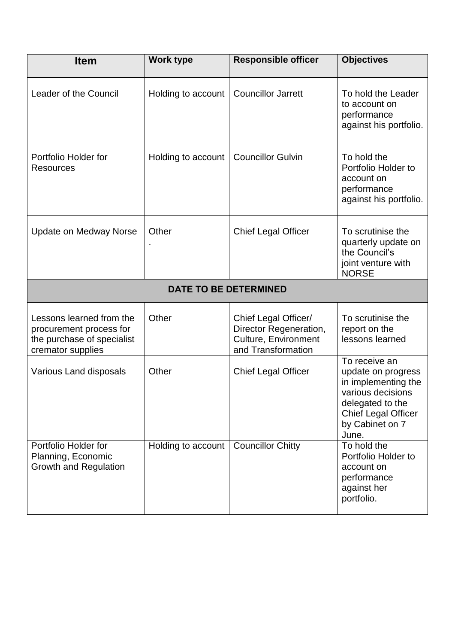| <b>Item</b>                                                                                            | <b>Work type</b>   | <b>Responsible officer</b>                                                                          | <b>Objectives</b>                                                                                                                                             |  |
|--------------------------------------------------------------------------------------------------------|--------------------|-----------------------------------------------------------------------------------------------------|---------------------------------------------------------------------------------------------------------------------------------------------------------------|--|
| Leader of the Council                                                                                  | Holding to account | <b>Councillor Jarrett</b>                                                                           | To hold the Leader<br>to account on<br>performance<br>against his portfolio.                                                                                  |  |
| Portfolio Holder for<br><b>Resources</b>                                                               | Holding to account | <b>Councillor Gulvin</b>                                                                            | To hold the<br>Portfolio Holder to<br>account on<br>performance<br>against his portfolio.                                                                     |  |
| <b>Update on Medway Norse</b>                                                                          | Other              | <b>Chief Legal Officer</b>                                                                          | To scrutinise the<br>quarterly update on<br>the Council's<br>joint venture with<br><b>NORSE</b>                                                               |  |
| <b>DATE TO BE DETERMINED</b>                                                                           |                    |                                                                                                     |                                                                                                                                                               |  |
| Lessons learned from the<br>procurement process for<br>the purchase of specialist<br>cremator supplies | Other              | Chief Legal Officer/<br>Director Regeneration,<br><b>Culture, Environment</b><br>and Transformation | To scrutinise the<br>report on the<br>lessons learned                                                                                                         |  |
| <b>Various Land disposals</b>                                                                          | Other              | <b>Chief Legal Officer</b>                                                                          | To receive an<br>update on progress<br>in implementing the<br>various decisions<br>delegated to the<br><b>Chief Legal Officer</b><br>by Cabinet on 7<br>June. |  |
| Portfolio Holder for<br>Planning, Economic<br><b>Growth and Regulation</b>                             | Holding to account | <b>Councillor Chitty</b>                                                                            | To hold the<br>Portfolio Holder to<br>account on<br>performance<br>against her<br>portfolio.                                                                  |  |